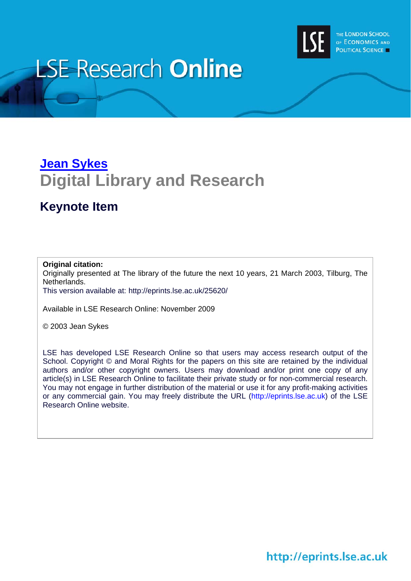

#### **LSE Research Online**

#### **[Jean Sykes](http://www2.lse.ac.uk/researchAndExpertise/Experts/j.sykes@lse.ac.uk) Digital Library and Research**

#### **Keynote Item**

#### **Original citation:**

Originally presented at The library of the future the next 10 years, 21 March 2003, Tilburg, The Netherlands.

This version available at: <http://eprints.lse.ac.uk/25620/>

Available in LSE Research Online: November 2009

© 2003 Jean Sykes

LSE has developed LSE Research Online so that users may access research output of the School. Copyright © and Moral Rights for the papers on this site are retained by the individual authors and/or other copyright owners. Users may download and/or print one copy of any article(s) in LSE Research Online to facilitate their private study or for non-commercial research. You may not engage in further distribution of the material or use it for any profit-making activities or any commercial gain. You may freely distribute the URL (http://eprints.lse.ac.uk) of the LSE Research Online website.

http://eprints.lse.ac.uk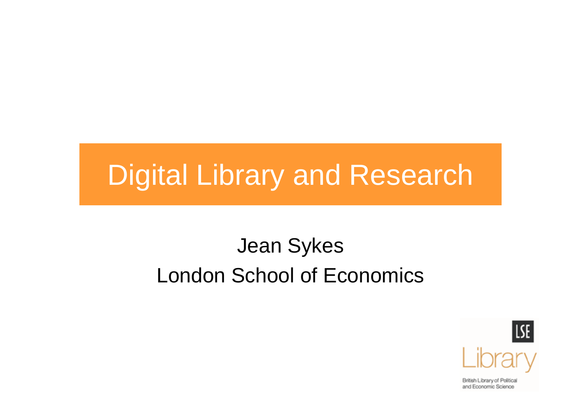#### Digital Library and Research

#### Jean Sykes London School of Economics

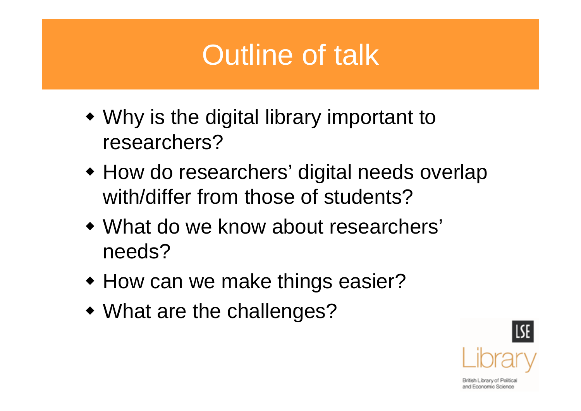#### Outline of talk

- Why is the digital library important to researchers?
- How do researchers' digital needs overlap with/differ from those of students?
- What do we know about researchers' needs?
- How can we make things easier?
- What are the challenges?

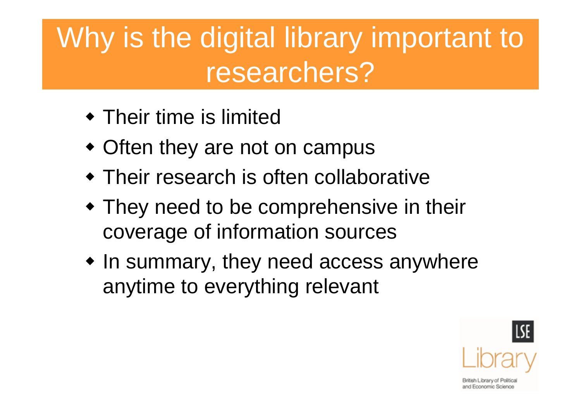### Why is the digital library important to researchers?

- Their time is limited
- Often they are not on campus
- Their research is often collaborative
- They need to be comprehensive in their coverage of information sources
- $\bullet$  In summary, they need access anywhere anytime to everything relevant

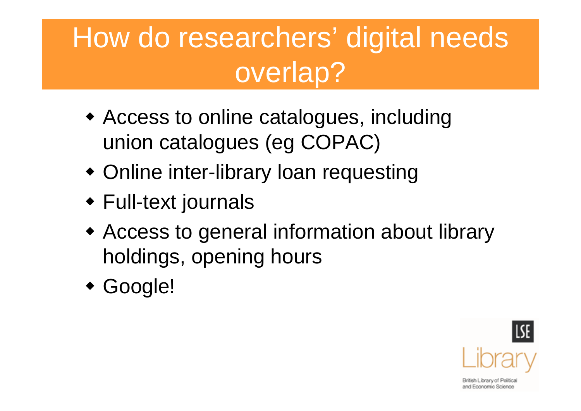# How do researchers' digital needs overlap?

- Access to online catalogues, including union catalogues (eg COPAC)
- Online inter-library loan requesting
- Full-text journals
- Access to general information about library holdings, opening hours
- Google!

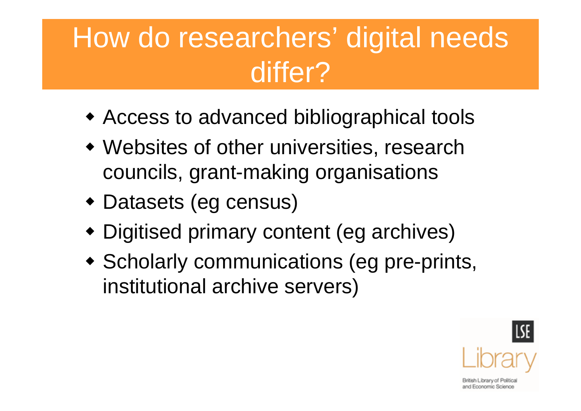## How do researchers' digital needs differ?

- Access to advanced bibliographical tools
- Websites of other universities, research councils, grant-making organisations
- Datasets (eg census)
- Digitised primary content (eg archives)
- Scholarly communications (eg pre-prints, institutional archive servers)

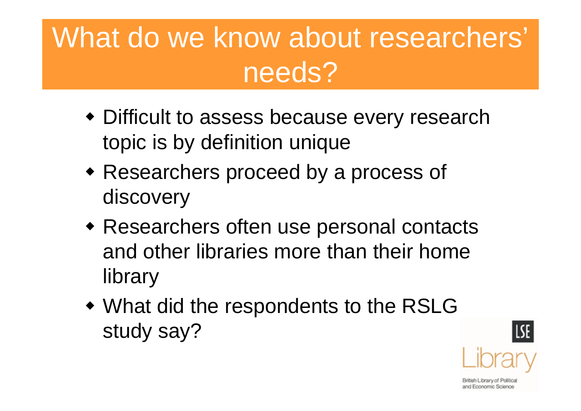### What do we know about researchers' needs?

- Difficult to assess because every research topic is by definition unique
- Researchers proceed by a process of discovery
- Researchers often use personal contacts and other libraries more than their home library
- What did the respondents to the RSLG study say?



and Economic Science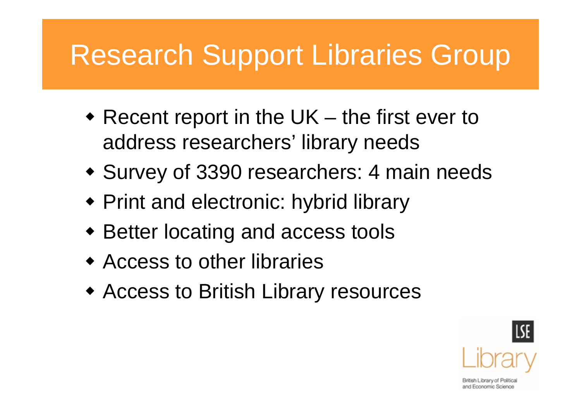# Research Support Libraries Group

- Recent report in the UK the first ever to address researchers' library needs
- Survey of 3390 researchers: 4 main needs
- Print and electronic: hybrid library
- Better locating and access tools
- Access to other libraries
- Access to British Library resources

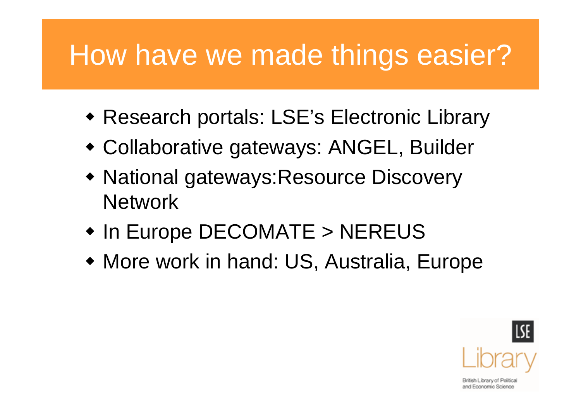## How have we made things easier?

- Research portals: LSE's Electronic Library
- Collaborative gateways: ANGEL, Builder
- National gateways:Resource Discovery **Network**
- In Europe DECOMATE > NEREUS
- More work in hand: US, Australia, Europe

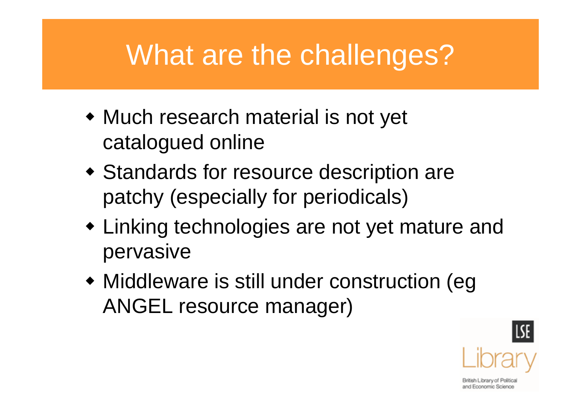#### What are the challenges?

- Much research material is not yet catalogued online
- Standards for resource description are patchy (especially for periodicals)
- Linking technologies are not yet mature and pervasive
- Middleware is still under construction (eg ANGEL resource manager)

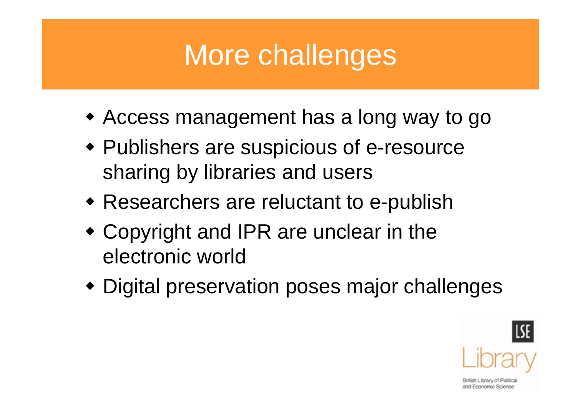## More challenges

- Access management has a long way to go
- Publishers are suspicious of e-resource sharing by libraries and users
- Researchers are reluctant to e-publish
- Copyright and IPR are unclear in the electronic world
- Digital preservation poses major challenges

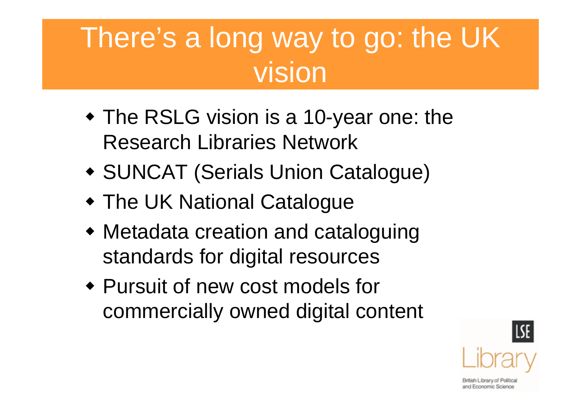#### There's a long way to go: the UK vision

- The RSLG vision is a 10-year one: the Research Libraries Network
- SUNCAT (Serials Union Catalogue)
- The UK National Catalogue
- Metadata creation and cataloguing standards for digital resources
- Pursuit of new cost models for commercially owned digital content

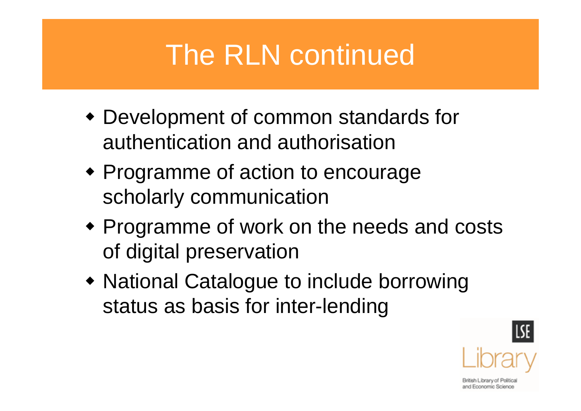### The RLN continued

- Development of common standards for authentication and authorisation
- Programme of action to encourage scholarly communication
- Programme of work on the needs and costs of digital preservation
- National Catalogue to include borrowing status as basis for inter-lending

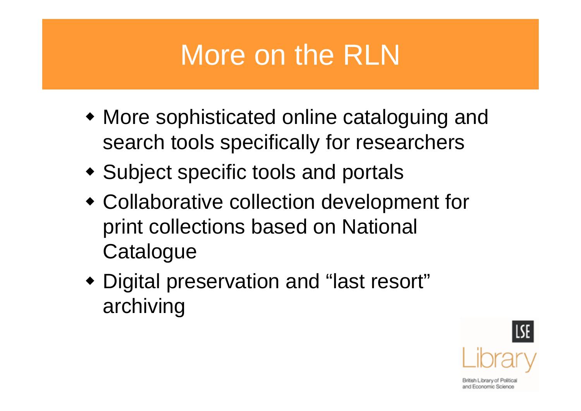## More on the RLN

- More sophisticated online cataloguing and search tools specifically for researchers
- Subject specific tools and portals
- Collaborative collection development for print collections based on National **Catalogue**
- Digital preservation and "last resort" archiving